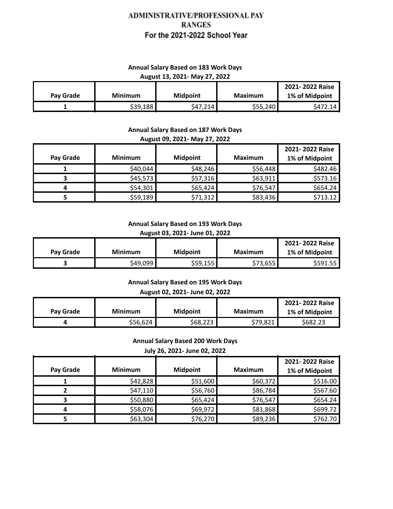# ADMINISTRATIVE/PROFESSIONAL PAY **RANGES** For the 2021-2022 School Year

### **Annual Salary Based on 183 Work Days August 13, 2021- May 27, 2022**

| Pay Grade | <b>Minimum</b> | <b>Midpoint</b> | Maximum  | 2021-2022 Raise<br>1% of Midpoint |
|-----------|----------------|-----------------|----------|-----------------------------------|
|           | \$39,188       | S47,214         | \$55,240 | S472.14                           |

### **Annual Salary Based on 187 Work Days August 09, 2021- May 27, 2022**

|           |                |                 |                | 2021-2022 Raise |
|-----------|----------------|-----------------|----------------|-----------------|
| Pay Grade | <b>Minimum</b> | <b>Midpoint</b> | <b>Maximum</b> | 1% of Midpoint  |
|           | \$40,044       | \$48,246        | \$56,448       | \$482.46        |
|           | \$45,573       | \$57,316        | \$63,911       | \$573.16        |
|           | \$54,301       | \$65,424        | \$76,547       | \$654.24        |
|           | \$59,189       | \$71,312        | \$83,436       | \$713.12        |

### **Annual Salary Based on 193 Work Days August 03, 2021- June 01, 2022**

|           |                |                 |          | 2021-2022 Raise |
|-----------|----------------|-----------------|----------|-----------------|
| Pav Grade | <b>Minimum</b> | <b>Midpoint</b> | Maximum  | 1% of Midpoint  |
|           | \$49,099       | \$59,155        | \$73,655 | S591.55 l       |

#### **Annual Salary Based on 195 Work Days**

### **August 02, 2021- June 02, 2022**

|           |                |                 |          | 2021-2022 Raise |
|-----------|----------------|-----------------|----------|-----------------|
| Pay Grade | <b>Minimum</b> | <b>Midpoint</b> | Maximum  | 1% of Midpoint  |
|           | \$56,624       | \$68,223        | \$79,821 | \$682.23        |

## **Annual Salary Based 200 Work Days July 26, 2021- June 02, 2022**

| Pay Grade | <b>Minimum</b> | <b>Midpoint</b> | <b>Maximum</b> | 2021-2022 Raise<br>1% of Midpoint |
|-----------|----------------|-----------------|----------------|-----------------------------------|
|           | \$42,828       | \$51,600        | \$60,372       | \$516.00                          |
|           | \$47,110       | \$56,760        | \$86,784       | \$567.60                          |
|           | \$50,880       | \$65,424        | \$76,547       | \$654.24                          |
|           | \$58,076       | \$69,972        | \$81,868       | \$699.72                          |
|           | \$63,304       | \$76,270        | \$89,236       | \$762.70                          |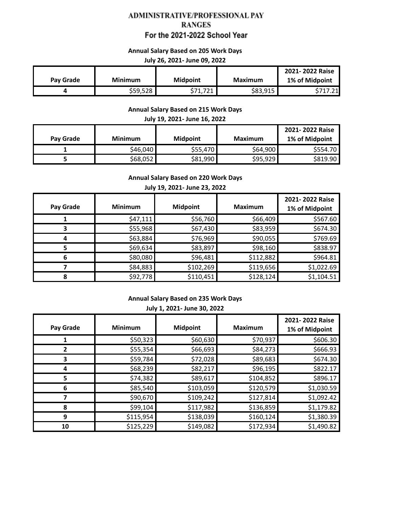## ADMINISTRATIVE/PROFESSIONAL PAY **RANGES** For the 2021-2022 School Year

#### **Annual Salary Based on 205 Work Days**

#### **July 26, 2021- June 09, 2022**

|           |                |                               |          | 2021-2022 Raise |
|-----------|----------------|-------------------------------|----------|-----------------|
| Pav Grade | <b>Minimum</b> | <b>Midpoint</b>               | Maximum  | 1% of Midpoint  |
|           | \$59,528       | 771<br>C 71<br><i>311,121</i> | \$83,915 | 24              |

#### **Annual Salary Based on 215 Work Days**

#### **July 19, 2021- June 16, 2022**

| Pay Grade | <b>Minimum</b> | <b>Midpoint</b> | <b>Maximum</b> | 2021-2022 Raise<br>1% of Midpoint |
|-----------|----------------|-----------------|----------------|-----------------------------------|
|           | \$46,040       | \$55,470        | \$64,900       | \$554.70                          |
|           | \$68,052       | \$81,990        | \$95,929       | \$819.90                          |

### **Annual Salary Based on 220 Work Days**

### **July 19, 2021- June 23, 2022**

| Pay Grade | <b>Minimum</b> | <b>Midpoint</b> | <b>Maximum</b> | 2021-2022 Raise<br>1% of Midpoint |
|-----------|----------------|-----------------|----------------|-----------------------------------|
|           | \$47,111       | \$56,760        | \$66,409       | \$567.60                          |
|           | \$55,968       | \$67,430        | \$83,959       | \$674.30                          |
|           | \$63,884       | \$76,969        | \$90,055       | \$769.69                          |
|           | \$69,634       | \$83,897        | \$98,160       | \$838.97                          |
| 6         | \$80,080       | \$96,481        | \$112,882      | \$964.81                          |
|           | \$84,883       | \$102,269       | \$119,656      | \$1,022.69                        |
|           | \$92,778       | \$110,451       | \$128,124      | \$1,104.51                        |

### **Annual Salary Based on 235 Work Days July 1, 2021- June 30, 2022**

| Pay Grade | <b>Minimum</b> | <b>Midpoint</b> | <b>Maximum</b> | 2021-2022 Raise<br>1% of Midpoint |
|-----------|----------------|-----------------|----------------|-----------------------------------|
|           | \$50,323       | \$60,630        | \$70,937       | \$606.30                          |
|           | \$55,354       | \$66,693        | \$84,273       | \$666.93                          |
| 3         | \$59,784       | \$72,028        | \$89,683       | \$674.30                          |
| 4         | \$68,239       | \$82,217        | \$96,195       | \$822.17                          |
| 5.        | \$74,382       | \$89,617        | \$104,852      | \$896.17                          |
| 6         | \$85,540       | \$103,059       | \$120,579      | \$1,030.59                        |
|           | \$90,670       | \$109,242       | \$127,814      | \$1,092.42                        |
| 8         | \$99,104       | \$117,982       | \$136,859      | \$1,179.82                        |
| 9         | \$115,954      | \$138,039       | \$160,124      | \$1,380.39                        |
| 10        | \$125,229      | \$149,082       | \$172,934      | \$1,490.82                        |